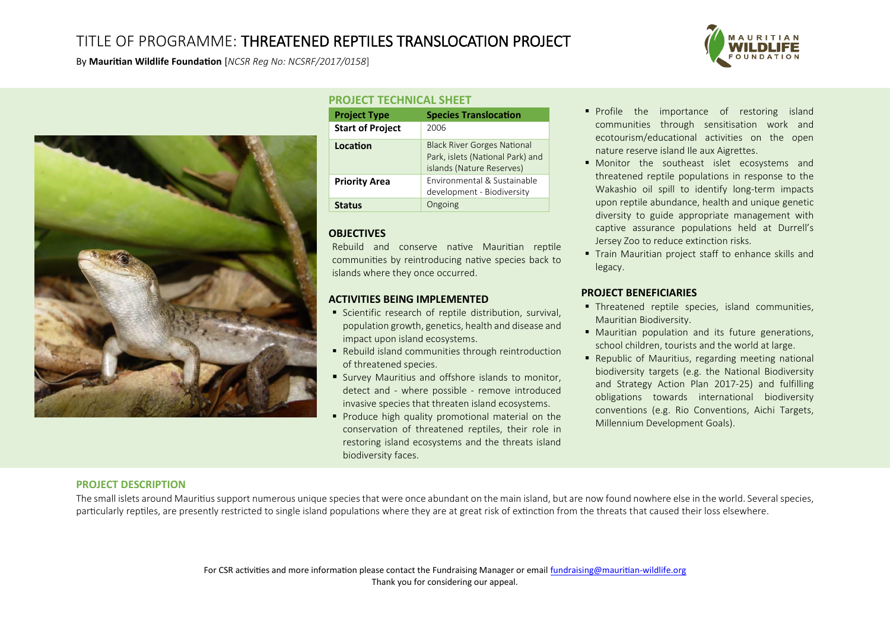# TITLE OF PROGRAMME: THREATENED REPTILES TRANSLOCATION PROJECT

By **Mauritian Wildlife Foundation** [*NCSR Reg No: NCSRF/2017/0158*]



# **PROJECT TECHNICAL SHEET**

| <b>Project Type</b>     | <b>Species Translocation</b>                                                                        |
|-------------------------|-----------------------------------------------------------------------------------------------------|
| <b>Start of Project</b> | 2006                                                                                                |
| Location                | <b>Black River Gorges National</b><br>Park, islets (National Park) and<br>islands (Nature Reserves) |
| <b>Priority Area</b>    | Environmental & Sustainable<br>development - Biodiversity                                           |
| <b>Status</b>           | Ongoing                                                                                             |

# **OBJECTIVES**

Rebuild and conserve native Mauritian reptile communities by reintroducing native species back to islands where they once occurred.

## **ACTIVITIES BEING IMPLEMENTED**

- **Scientific research of reptile distribution, survival,** population growth, genetics, health and disease and impact upon island ecosystems.
- Rebuild island communities through reintroduction of threatened species.
- Survey Mauritius and offshore islands to monitor, detect and - where possible - remove introduced invasive species that threaten island ecosystems.
- Produce high quality promotional material on the conservation of threatened reptiles, their role in restoring island ecosystems and the threats island biodiversity faces.
- **Profile the importance of restoring island** communities through sensitisation work and ecotourism/educational activities on the open nature reserve island Ile aux Aigrettes.
- **Monitor the southeast islet ecosystems and** threatened reptile populations in response to the Wakashio oil spill to identify long-term impacts upon reptile abundance, health and unique genetic diversity to guide appropriate management with captive assurance populations held at Durrell's Jersey Zoo to reduce extinction risks.
- **Train Mauritian project staff to enhance skills and** legacy.

# **PROJECT BENEFICIARIES**

- Threatened reptile species, island communities, Mauritian Biodiversity.
- Mauritian population and its future generations, school children, tourists and the world at large.
- Republic of Mauritius, regarding meeting national biodiversity targets (e.g. the National Biodiversity and Strategy Action Plan 2017-25) and fulfilling obligations towards international biodiversity conventions (e.g. Rio Conventions, Aichi Targets, Millennium Development Goals).

# **PROJECT DESCRIPTION**

The small islets around Mauritius support numerous unique species that were once abundant on the main island, but are now found nowhere else in the world. Several species, particularly reptiles, are presently restricted to single island populations where they are at great risk of extinction from the threats that caused their loss elsewhere.